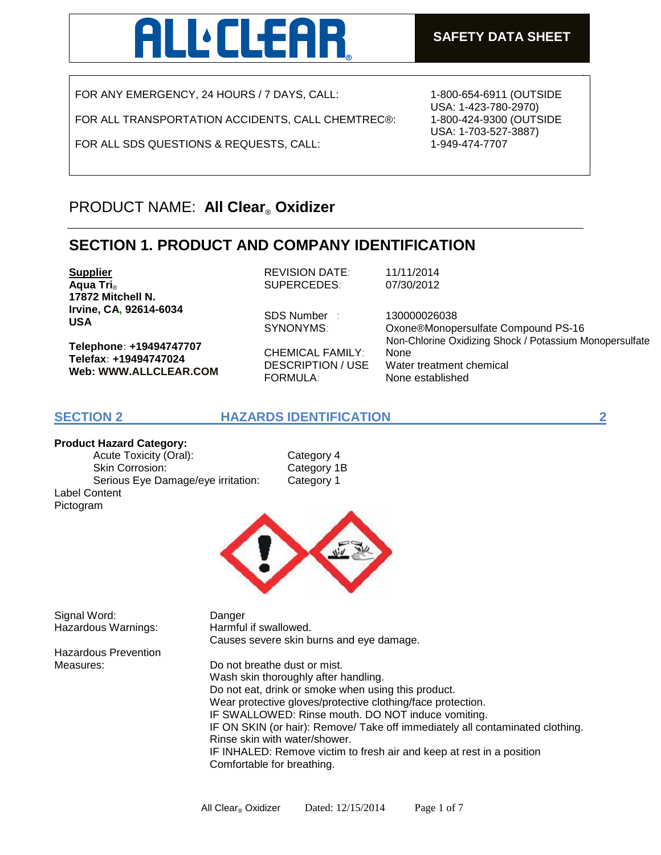# **LLEAR**

FOR ANY EMERGENCY, 24 HOURS / 7 DAYS, CALL:

FOR ALL TRANSPORTATION ACCIDENTS, CALL CHEMTREC®:

FOR ALL SDS QUESTIONS & REQUESTS, CALL:

1-800-654-6911 (OUTSIDE USA: 1-423-780-2970) 1-800-424-9300 (OUTSIDE USA: 1-703-527-3887) 1-949-474-7707

# PRODUCT NAME: **All Clear**® **Oxidizer**

# **SECTION 1. PRODUCT AND COMPANY IDENTIFICATION**

**Supplier Aqua Tri**® **17872 Mitchell N. Irvine, CA, 92614-6034 USA**

**Telephone: +19494747707 Telefax: +19494747024 Web: WWW.ALLCLEAR.COM**  REVISION DATE: 11/11/2014 SUPERCEDES: 07/30/2012

SDS Number : 130000026038

CHEMICAL FAMILY: None FORMULA: None established

SYNONYMS: Oxone®Monopersulfate Compound PS-16 DESCRIPTION / USE Water treatment chemical Non-Chlorine Oxidizing Shock / Potassium Monopersulfate

## **SECTION 2 HAZARDS IDENTIFICATION 2**

**Product Hazard Category:** 

Acute Toxicity (Oral): Category 4 Skin Corrosion: Category 1B Serious Eye Damage/eye irritation: Category 1 Label Content Pictogram



Signal Word: Danger Hazardous Warnings: Harmful if swallowed.

Causes severe skin burns and eye damage.

Hazardous Prevention

Measures: Do not breathe dust or mist. Wash skin thoroughly after handling. Do not eat, drink or smoke when using this product. Wear protective gloves/protective clothing/face protection. IF SWALLOWED: Rinse mouth. DO NOT induce vomiting. IF ON SKIN (or hair): Remove/ Take off immediately all contaminated clothing. Rinse skin with water/shower. IF INHALED: Remove victim to fresh air and keep at rest in a position Comfortable for breathing.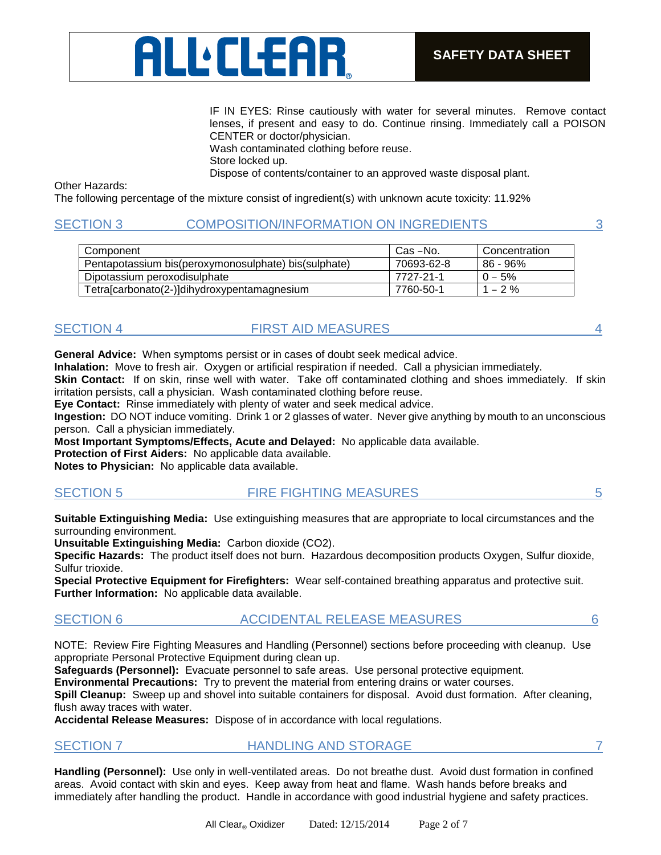

IF IN EYES: Rinse cautiously with water for several minutes. Remove contact lenses, if present and easy to do. Continue rinsing. Immediately call a POISON CENTER or doctor/physician.

Wash contaminated clothing before reuse.

Store locked up.

Dispose of contents/container to an approved waste disposal plant.

Other Hazards:

The following percentage of the mixture consist of ingredient(s) with unknown acute toxicity: 11.92%

## SECTION 3 COMPOSITION/INFORMATION ON INGREDIENTS 3

| Component                                            | Cas –No.   | Concentration |
|------------------------------------------------------|------------|---------------|
| Pentapotassium bis(peroxymonosulphate) bis(sulphate) | 70693-62-8 | 86 - 96%      |
| Dipotassium peroxodisulphate                         | 7727-21-1  | $0 - 5\%$     |
| Tetra[carbonato(2-)]dihydroxypentamagnesium          | 7760-50-1  | $1 - 2 \%$    |

## SECTION 4 FIRST AID MEASURES 4

**General Advice:** When symptoms persist or in cases of doubt seek medical advice.

**Inhalation:** Move to fresh air. Oxygen or artificial respiration if needed. Call a physician immediately.

**Skin Contact:** If on skin, rinse well with water. Take off contaminated clothing and shoes immediately. If skin irritation persists, call a physician. Wash contaminated clothing before reuse.

**Eye Contact:** Rinse immediately with plenty of water and seek medical advice.

**Ingestion:** DO NOT induce vomiting. Drink 1 or 2 glasses of water. Never give anything by mouth to an unconscious person. Call a physician immediately.

**Most Important Symptoms/Effects, Acute and Delayed:** No applicable data available.

**Protection of First Aiders:** No applicable data available.

**Notes to Physician:** No applicable data available.

| <b>SECTION 5</b> | <b>FIRE FIGHTING MEASURES</b> |  |
|------------------|-------------------------------|--|
|                  |                               |  |

**Suitable Extinguishing Media:** Use extinguishing measures that are appropriate to local circumstances and the surrounding environment.

**Unsuitable Extinguishing Media:** Carbon dioxide (CO2).

**Specific Hazards:** The product itself does not burn. Hazardous decomposition products Oxygen, Sulfur dioxide, Sulfur trioxide.

**Special Protective Equipment for Firefighters:** Wear self-contained breathing apparatus and protective suit. **Further Information:** No applicable data available.

## SECTION 6 ACCIDENTAL RELEASE MEASURES 6

NOTE: Review Fire Fighting Measures and Handling (Personnel) sections before proceeding with cleanup. Use appropriate Personal Protective Equipment during clean up.

**Safeguards (Personnel):** Evacuate personnel to safe areas. Use personal protective equipment.

**Environmental Precautions:** Try to prevent the material from entering drains or water courses.

**Spill Cleanup:** Sweep up and shovel into suitable containers for disposal. Avoid dust formation. After cleaning, flush away traces with water.

**Accidental Release Measures:** Dispose of in accordance with local regulations.

SECTION 7 **HANDLING AND STORAGE** 7

**Handling (Personnel):** Use only in well-ventilated areas. Do not breathe dust. Avoid dust formation in confined areas. Avoid contact with skin and eyes. Keep away from heat and flame. Wash hands before breaks and immediately after handling the product. Handle in accordance with good industrial hygiene and safety practices.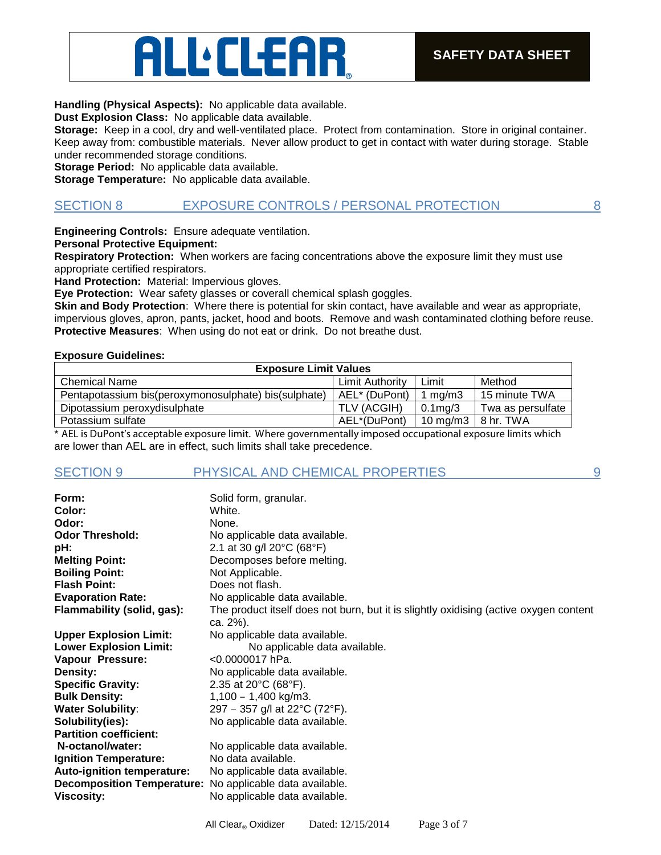#### **Handling (Physical Aspects):** No applicable data available.

ALLEEAR

**Dust Explosion Class:** No applicable data available.

**Storage:** Keep in a cool, dry and well-ventilated place. Protect from contamination. Store in original container. Keep away from: combustible materials. Never allow product to get in contact with water during storage. Stable under recommended storage conditions.

**Storage Period:** No applicable data available.

**Storage Temperatur**e**:** No applicable data available.

### SECTION 8 EXPOSURE CONTROLS / PERSONAL PROTECTION 8

**Engineering Controls:** Ensure adequate ventilation.

**Personal Protective Equipment:** 

**Respiratory Protection:** When workers are facing concentrations above the exposure limit they must use appropriate certified respirators.

**Hand Protection:** Material: Impervious gloves.

**Eye Protection:** Wear safety glasses or coverall chemical splash goggles.

**Skin and Body Protection**: Where there is potential for skin contact, have available and wear as appropriate, impervious gloves, apron, pants, jacket, hood and boots. Remove and wash contaminated clothing before reuse. **Protective Measures**: When using do not eat or drink. Do not breathe dust.

#### **Exposure Guidelines:**

| <b>Exposure Limit Values</b>                         |                 |                     |                   |
|------------------------------------------------------|-----------------|---------------------|-------------------|
| <b>Chemical Name</b>                                 | Limit Authority | Limit               | Method            |
| Pentapotassium bis(peroxymonosulphate) bis(sulphate) | AEL* (DuPont)   | 1 $ma/m3$           | 15 minute TWA     |
| Dipotassium peroxydisulphate                         | TLV (ACGIH)     | $0.1$ ma/3          | Twa as persulfate |
| Potassium sulfate                                    | AEL*(DuPont)    | $10 \text{ ma/m}$ 3 | ∣8 hr. TWA        |

\* AEL is DuPont's acceptable exposure limit. Where governmentally imposed occupational exposure limits which are lower than AEL are in effect, such limits shall take precedence.

### SECTION 9 PHYSICAL AND CHEMICAL PROPERTIES 9

**Form:** Solid form, granular. **Color:** White. **Odor:** None. **Odor Threshold:** No applicable data available. **pH: 2.1** at 30 g/l 20 $^{\circ}$ C (68 $^{\circ}$ F) **Melting Point:** Decomposes before melting. **Boiling Point:** Not Applicable. **Flash Point:** Does not flash. **Evaporation Rate:** No applicable data available. **Flammability (solid, gas):** The product itself does not burn, but it is slightly oxidising (active oxygen content ca. 2%). **Upper Explosion Limit:** No applicable data available. **Lower Explosion Limit:** No applicable data available. **Vapour Pressure:** <0.0000017 hPa. **Density:** No applicable data available. **Specific Gravity:** 2.35 at 20°C (68°F). **Bulk Density:** 1,100 – 1,400 kg/m3. **Water Solubility:** 297 – 357 g/l at 22°C (72°F). **Solubility(ies):** No applicable data available. **Partition coefficient: N-octanol/water:** No applicable data available. **Ignition Temperature:** No data available. **Auto-ignition temperature:** No applicable data available. **Decomposition Temperature:** No applicable data available. **Viscosity:** No applicable data available.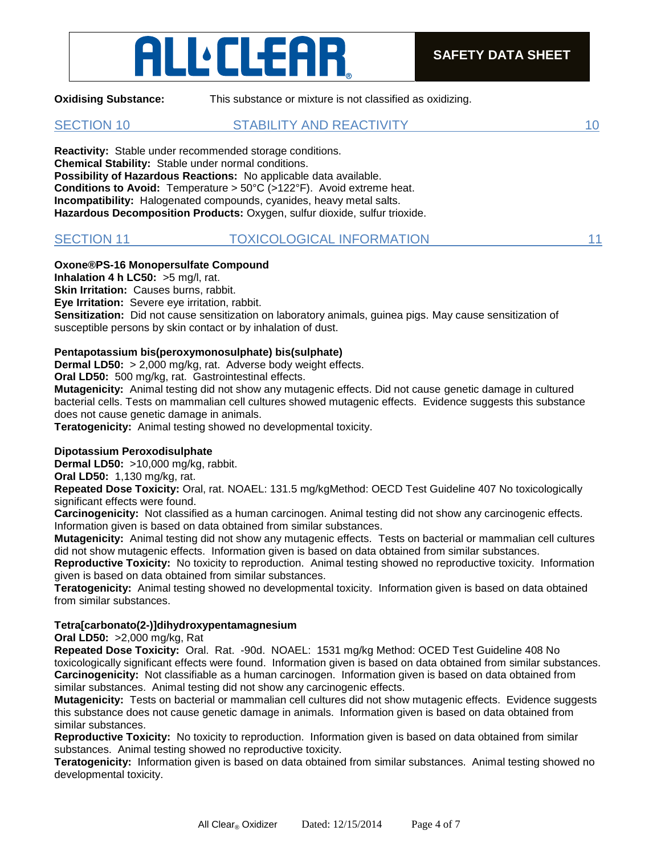# ALLEEEAR

**Oxidising Substance:** This substance or mixture is not classified as oxidizing.

SECTION 10 STABILITY AND REACTIVITY 10

**Reactivity:** Stable under recommended storage conditions. **Chemical Stability:** Stable under normal conditions. **Possibility of Hazardous Reactions:** No applicable data available. **Conditions to Avoid:** Temperature > 50°C (>122°F). Avoid extreme heat. **Incompatibility:** Halogenated compounds, cyanides, heavy metal salts. **Hazardous Decomposition Products:** Oxygen, sulfur dioxide, sulfur trioxide.

| <b>SECTION 11</b> | <b>TOXICOLOGICAL INFORMATION</b> |  |
|-------------------|----------------------------------|--|
|                   |                                  |  |

### **Oxone®PS-16 Monopersulfate Compound**

**Inhalation 4 h LC50:** >5 mg/l, rat.

**Skin Irritation:** Causes burns, rabbit.

**Eye Irritation:** Severe eye irritation, rabbit.

**Sensitization:** Did not cause sensitization on laboratory animals, guinea pigs. May cause sensitization of susceptible persons by skin contact or by inhalation of dust.

### **Pentapotassium bis(peroxymonosulphate) bis(sulphate)**

**Dermal LD50:** > 2,000 mg/kg, rat. Adverse body weight effects.

**Oral LD50:** 500 mg/kg, rat. Gastrointestinal effects.

**Mutagenicity:** Animal testing did not show any mutagenic effects. Did not cause genetic damage in cultured bacterial cells. Tests on mammalian cell cultures showed mutagenic effects. Evidence suggests this substance does not cause genetic damage in animals.

**Teratogenicity:** Animal testing showed no developmental toxicity.

#### **Dipotassium Peroxodisulphate**

**Dermal LD50:** >10,000 mg/kg, rabbit.

**Oral LD50:** 1,130 mg/kg, rat.

**Repeated Dose Toxicity:** Oral, rat. NOAEL: 131.5 mg/kgMethod: OECD Test Guideline 407 No toxicologically significant effects were found.

**Carcinogenicity:** Not classified as a human carcinogen. Animal testing did not show any carcinogenic effects. Information given is based on data obtained from similar substances.

**Mutagenicity:** Animal testing did not show any mutagenic effects. Tests on bacterial or mammalian cell cultures did not show mutagenic effects. Information given is based on data obtained from similar substances.

**Reproductive Toxicity:** No toxicity to reproduction. Animal testing showed no reproductive toxicity. Information given is based on data obtained from similar substances.

**Teratogenicity:** Animal testing showed no developmental toxicity. Information given is based on data obtained from similar substances.

#### **Tetra[carbonato(2-)]dihydroxypentamagnesium**

**Oral LD50:** >2,000 mg/kg, Rat

**Repeated Dose Toxicity:** Oral. Rat. -90d. NOAEL: 1531 mg/kg Method: OCED Test Guideline 408 No toxicologically significant effects were found. Information given is based on data obtained from similar substances. **Carcinogenicity:** Not classifiable as a human carcinogen. Information given is based on data obtained from similar substances. Animal testing did not show any carcinogenic effects.

**Mutagenicity:** Tests on bacterial or mammalian cell cultures did not show mutagenic effects. Evidence suggests this substance does not cause genetic damage in animals. Information given is based on data obtained from similar substances.

**Reproductive Toxicity:** No toxicity to reproduction. Information given is based on data obtained from similar substances. Animal testing showed no reproductive toxicity.

**Teratogenicity:** Information given is based on data obtained from similar substances. Animal testing showed no developmental toxicity.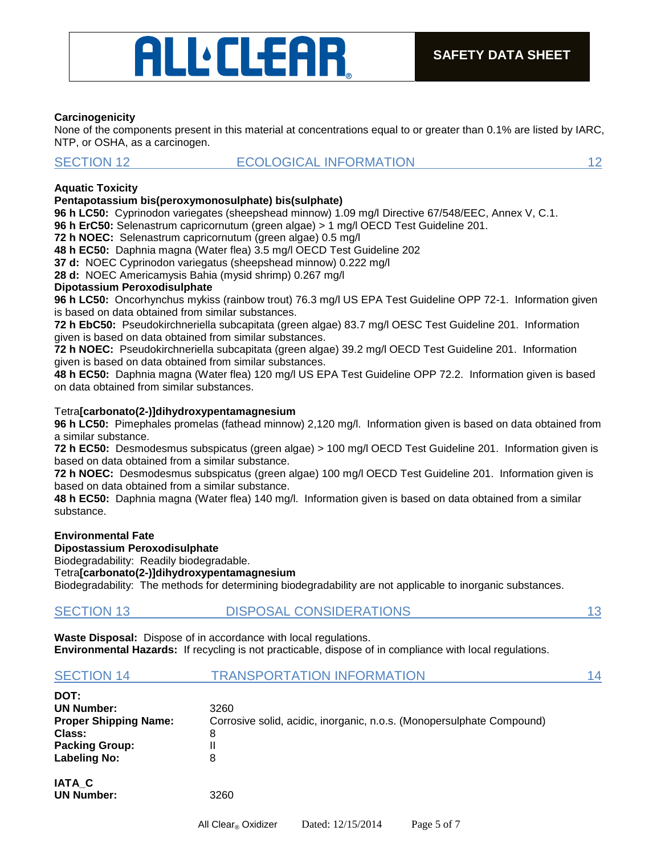# ALLEEAR

#### **Carcinogenicity**

None of the components present in this material at concentrations equal to or greater than 0.1% are listed by IARC, NTP, or OSHA, as a carcinogen.

#### SECTION 12 **ECOLOGICAL INFORMATION** 12

#### **Aquatic Toxicity**

#### **Pentapotassium bis(peroxymonosulphate) bis(sulphate)**

**96 h LC50:** Cyprinodon variegates (sheepshead minnow) 1.09 mg/l Directive 67/548/EEC, Annex V, C.1.

- **96 h ErC50:** Selenastrum capricornutum (green algae) > 1 mg/l OECD Test Guideline 201.
- **72 h NOEC:** Selenastrum capricornutum (green algae) 0.5 mg/l

**48 h EC50:** Daphnia magna (Water flea) 3.5 mg/l OECD Test Guideline 202

**37 d:** NOEC Cyprinodon variegatus (sheepshead minnow) 0.222 mg/l

**28 d:** NOEC Americamysis Bahia (mysid shrimp) 0.267 mg/l

#### **Dipotassium Peroxodisulphate**

**96 h LC50:** Oncorhynchus mykiss (rainbow trout) 76.3 mg/l US EPA Test Guideline OPP 72-1. Information given is based on data obtained from similar substances.

**72 h EbC50:** Pseudokirchneriella subcapitata (green algae) 83.7 mg/l OESC Test Guideline 201. Information given is based on data obtained from similar substances.

**72 h NOEC:** Pseudokirchneriella subcapitata (green algae) 39.2 mg/l OECD Test Guideline 201. Information given is based on data obtained from similar substances.

**48 h EC50:** Daphnia magna (Water flea) 120 mg/l US EPA Test Guideline OPP 72.2. Information given is based on data obtained from similar substances.

#### Tetra**[carbonato(2-)]dihydroxypentamagnesium**

**96 h LC50:** Pimephales promelas (fathead minnow) 2,120 mg/l. Information given is based on data obtained from a similar substance.

**72 h EC50:** Desmodesmus subspicatus (green algae) > 100 mg/l OECD Test Guideline 201. Information given is based on data obtained from a similar substance.

**72 h NOEC:** Desmodesmus subspicatus (green algae) 100 mg/l OECD Test Guideline 201. Information given is based on data obtained from a similar substance.

**48 h EC50:** Daphnia magna (Water flea) 140 mg/l. Information given is based on data obtained from a similar substance.

#### **Environmental Fate**

**Dipostassium Peroxodisulphate** 

Biodegradability: Readily biodegradable.

Tetra**[carbonato(2-)]dihydroxypentamagnesium** 

Biodegradability: The methods for determining biodegradability are not applicable to inorganic substances.

**Waste Disposal:** Dispose of in accordance with local regulations. **Environmental Hazards:** If recycling is not practicable, dispose of in compliance with local regulations.

| <b>SECTION 14</b> | <b>TRANSPORTATION INFORMATION</b> |  |
|-------------------|-----------------------------------|--|
| DOT:              |                                   |  |

| ---                          |                                                                       |
|------------------------------|-----------------------------------------------------------------------|
| <b>UN Number:</b>            | 3260                                                                  |
| <b>Proper Shipping Name:</b> | Corrosive solid, acidic, inorganic, n.o.s. (Monopersulphate Compound) |
| Class:                       | 8                                                                     |
| <b>Packing Group:</b>        | Ш                                                                     |
| Labeling No:                 | 8                                                                     |
| IATA C                       |                                                                       |
| <b>UN Number:</b>            | 3260                                                                  |
|                              |                                                                       |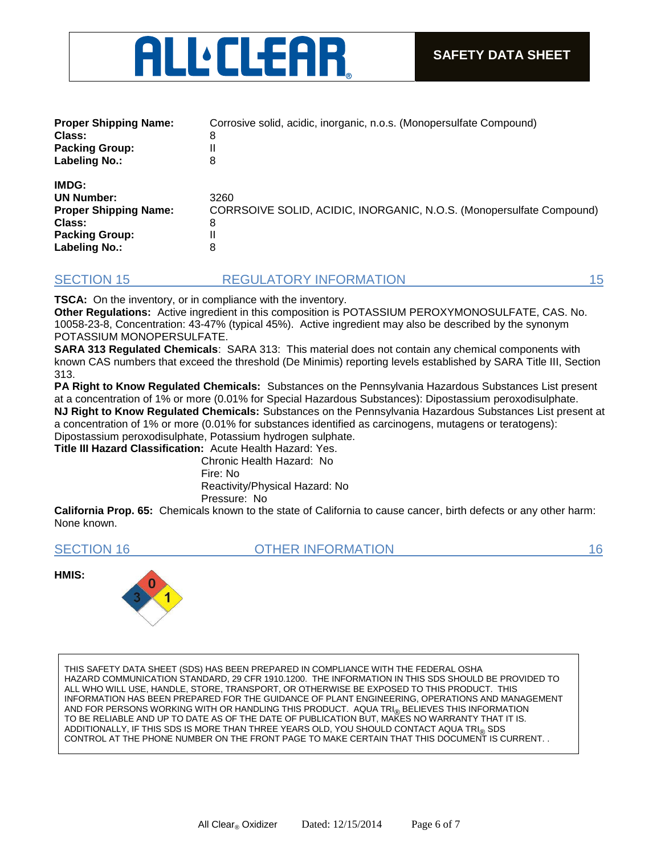

| <b>Proper Shipping Name:</b><br>Class:<br><b>Packing Group:</b><br><b>Labeling No.:</b>                               | Corrosive solid, acidic, inorganic, n.o.s. (Monopersulfate Compound)<br>8<br>8         |
|-----------------------------------------------------------------------------------------------------------------------|----------------------------------------------------------------------------------------|
| IMDG:<br><b>UN Number:</b><br><b>Proper Shipping Name:</b><br>Class:<br><b>Packing Group:</b><br><b>Labeling No.:</b> | 3260<br>CORRSOIVE SOLID, ACIDIC, INORGANIC, N.O.S. (Monopersulfate Compound)<br>8<br>8 |

#### SECTION 15 REGULATORY INFORMATION 15 15

**TSCA:** On the inventory, or in compliance with the inventory.

**Other Regulations:** Active ingredient in this composition is POTASSIUM PEROXYMONOSULFATE, CAS. No. 10058-23-8, Concentration: 43-47% (typical 45%). Active ingredient may also be described by the synonym POTASSIUM MONOPERSULFATE.

**SARA 313 Regulated Chemicals**: SARA 313: This material does not contain any chemical components with known CAS numbers that exceed the threshold (De Minimis) reporting levels established by SARA Title III, Section 313.

**PA Right to Know Regulated Chemicals:** Substances on the Pennsylvania Hazardous Substances List present at a concentration of 1% or more (0.01% for Special Hazardous Substances): Dipostassium peroxodisulphate. **NJ Right to Know Regulated Chemicals:** Substances on the Pennsylvania Hazardous Substances List present at a concentration of 1% or more (0.01% for substances identified as carcinogens, mutagens or teratogens): Dipostassium peroxodisulphate, Potassium hydrogen sulphate.

**Title III Hazard Classification:** Acute Health Hazard: Yes.

Chronic Health Hazard: No Fire: No Reactivity/Physical Hazard: No Pressure: No

**California Prop. 65:** Chemicals known to the state of California to cause cancer, birth defects or any other harm: None known.

SECTION 16 **OTHER INFORMATION** 16 **16** 

**HMIS:**



THIS SAFETY DATA SHEET (SDS) HAS BEEN PREPARED IN COMPLIANCE WITH THE FEDERAL OSHA HAZARD COMMUNICATION STANDARD, 29 CFR 1910.1200. THE INFORMATION IN THIS SDS SHOULD BE PROVIDED TO ALL WHO WILL USE, HANDLE, STORE, TRANSPORT, OR OTHERWISE BE EXPOSED TO THIS PRODUCT. THIS INFORMATION HAS BEEN PREPARED FOR THE GUIDANCE OF PLANT ENGINEERING, OPERATIONS AND MANAGEMENT AND FOR PERSONS WORKING WITH OR HANDLING THIS PRODUCT. AQUA TRI $_{\circledR}$  BELIEVES THIS INFORMATION TO BE RELIABLE AND UP TO DATE AS OF THE DATE OF PUBLICATION BUT, MAKES NO WARRANTY THAT IT IS. ADDITIONALLY, IF THIS SDS IS MORE THAN THREE YEARS OLD, YOU SHOULD CONTACT AQUA TRI<sub>®</sub> SDS<br>CONTROL AT THE PHONE NUMBER ON THE FRONT PAGE TO MAKE CERTAIN THAT THIS DOCUMENT IS CURRENT. .